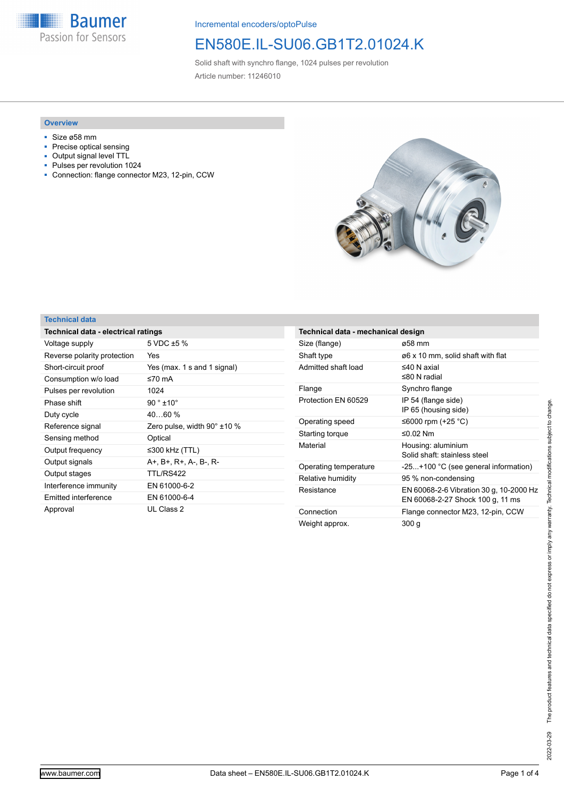**Baumer** Passion for Sensors

Incremental encoders/optoPulse

# EN580E.IL-SU06.GB1T2.01024.K

Solid shaft with synchro flange, 1024 pulses per revolution Article number: 11246010

#### **Overview**

- Size ø58 mm
- Precise optical sensing
- Output signal level TTL<br>■ Pulses per revolution 1
- Pulses per revolution 1024
- Connection: flange connector M23, 12-pin, CCW



### **Technical data**

| Technical data - electrical ratings |                                      |  |
|-------------------------------------|--------------------------------------|--|
| Voltage supply                      | 5 VDC $\pm$ 5 %                      |  |
| Reverse polarity protection         | Yes                                  |  |
| Short-circuit proof                 | Yes (max. 1 s and 1 signal)          |  |
| Consumption w/o load                | ≤70 mA                               |  |
| Pulses per revolution               | 1024                                 |  |
| Phase shift                         | $90^{\circ}$ ±10 $^{\circ}$          |  |
| Duty cycle                          | $4060\%$                             |  |
| Reference signal                    | Zero pulse, width $90^{\circ}$ ±10 % |  |
| Sensing method                      | Optical                              |  |
| Output frequency                    | ≤300 kHz (TTL)                       |  |
| Output signals                      | A+, B+, R+, A-, B-, R-               |  |
| Output stages                       | TTL/RS422                            |  |
| Interference immunity               | EN 61000-6-2                         |  |
| Emitted interference                | EN 61000-6-4                         |  |
| Approval                            | UL Class 2                           |  |

| Technical data - mechanical design |                                                                             |  |
|------------------------------------|-----------------------------------------------------------------------------|--|
| Size (flange)                      | ø58 mm                                                                      |  |
| Shaft type                         | ø6 x 10 mm, solid shaft with flat                                           |  |
| Admitted shaft load                | $\leq$ 40 N axial<br>$≤80 N$ radial                                         |  |
| Flange                             | Synchro flange                                                              |  |
| Protection EN 60529                | IP 54 (flange side)<br>IP 65 (housing side)                                 |  |
| Operating speed                    | ≤6000 rpm (+25 °C)                                                          |  |
| Starting torque                    | ≤0.02 Nm                                                                    |  |
| Material                           | Housing: aluminium<br>Solid shaft: stainless steel                          |  |
| Operating temperature              | -25+100 °C (see general information)                                        |  |
| Relative humidity                  | 95 % non-condensing                                                         |  |
| Resistance                         | EN 60068-2-6 Vibration 30 g, 10-2000 Hz<br>EN 60068-2-27 Shock 100 g, 11 ms |  |
| Connection                         | Flange connector M23, 12-pin, CCW                                           |  |
| Weight approx.                     | 300 g                                                                       |  |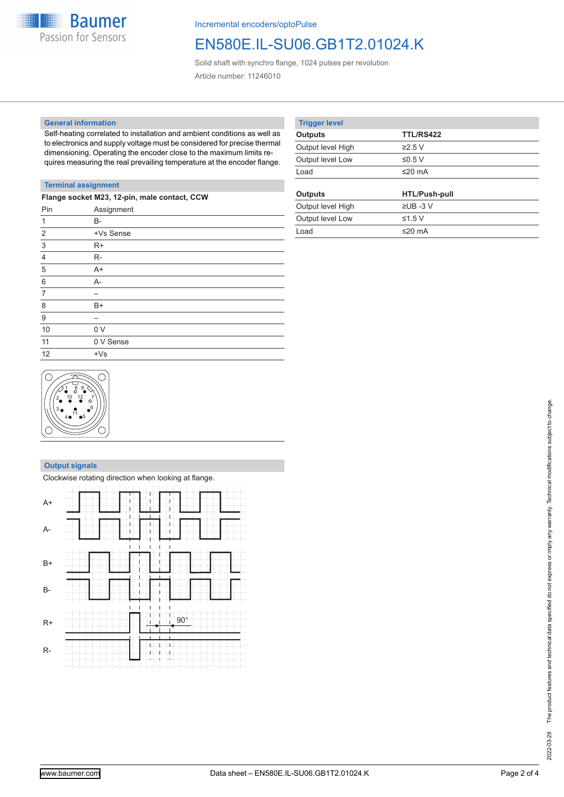

Incremental encoders/optoPulse

### EN580E.IL-SU06.GB1T2.01024.K

Solid shaft with synchro flange, 1024 pulses per revolution Article number: 11246010

#### **General information**

Self-heating correlated to installation and ambient conditions as well as to electronics and supply voltage must be considered for precise thermal dimensioning. Operating the encoder close to the maximum limits requires measuring the real prevailing temperature at the encoder flange.

| <b>Trigger level</b> |                      |  |
|----------------------|----------------------|--|
| <b>Outputs</b>       | <b>TTL/RS422</b>     |  |
| Output level High    | $\geq$ 2.5 V         |  |
| Output level Low     | ≤0.5 V               |  |
| Load                 | ≤20 $mA$             |  |
|                      |                      |  |
|                      |                      |  |
| Outputs              | <b>HTL/Push-pull</b> |  |
| Output level High    | $\Sigma$ UB -3 V     |  |
| Output level Low     | ≤1.5 $V$             |  |
| Load                 | $≤20$ mA             |  |

### **Terminal assignment**

| Flange socket M23, 12-pin, male contact, CCW |  |  |
|----------------------------------------------|--|--|
| Assignment                                   |  |  |
| $B -$                                        |  |  |
| +Vs Sense                                    |  |  |
| $R+$                                         |  |  |
| $R-$                                         |  |  |
| $A+$                                         |  |  |
| $A -$                                        |  |  |
|                                              |  |  |
| B+                                           |  |  |
|                                              |  |  |
| 0 <sub>V</sub>                               |  |  |
| 0 V Sense                                    |  |  |
| $+Vs$                                        |  |  |
|                                              |  |  |



#### **Output signals**

|           | Clockwise rotating direction when looking at flange. |
|-----------|------------------------------------------------------|
| $A+$      |                                                      |
| A-        |                                                      |
| $B+$      |                                                      |
| <b>B-</b> |                                                      |
| $R+$      | $-90^\circ$<br>П                                     |
| $R-$      |                                                      |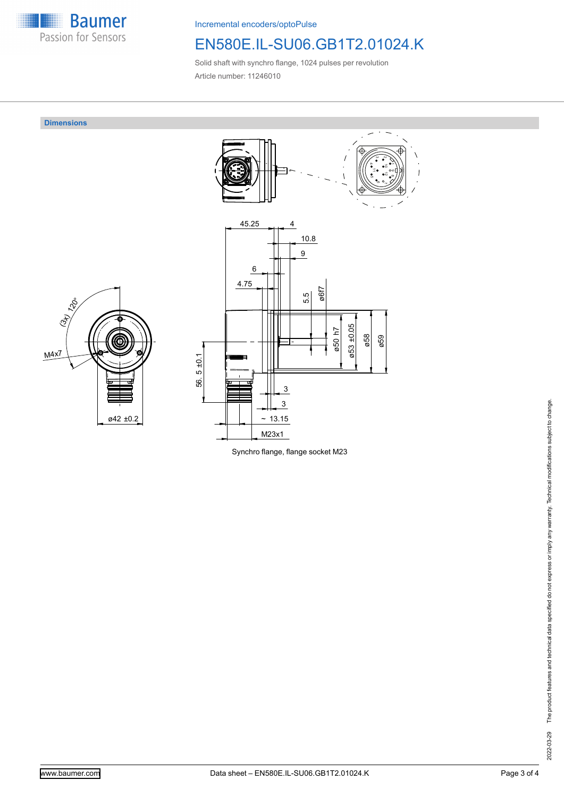

Incremental encoders/optoPulse

## EN580E.IL-SU06.GB1T2.01024.K

Solid shaft with synchro flange, 1024 pulses per revolution Article number: 11246010